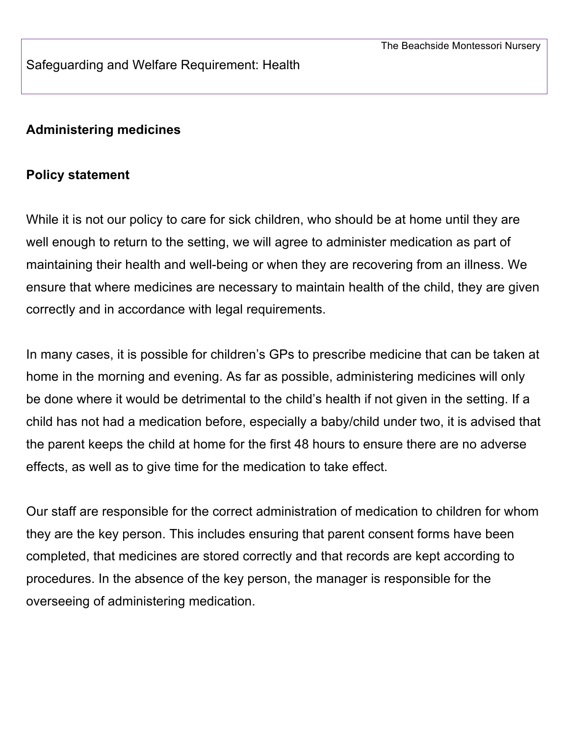Safeguarding and Welfare Requirement: Health

#### **Administering medicines**

#### **Policy statement**

While it is not our policy to care for sick children, who should be at home until they are well enough to return to the setting, we will agree to administer medication as part of maintaining their health and well-being or when they are recovering from an illness. We ensure that where medicines are necessary to maintain health of the child, they are given correctly and in accordance with legal requirements.

In many cases, it is possible for children's GPs to prescribe medicine that can be taken at home in the morning and evening. As far as possible, administering medicines will only be done where it would be detrimental to the child's health if not given in the setting. If a child has not had a medication before, especially a baby/child under two, it is advised that the parent keeps the child at home for the first 48 hours to ensure there are no adverse effects, as well as to give time for the medication to take effect.

Our staff are responsible for the correct administration of medication to children for whom they are the key person. This includes ensuring that parent consent forms have been completed, that medicines are stored correctly and that records are kept according to procedures. In the absence of the key person, the manager is responsible for the overseeing of administering medication.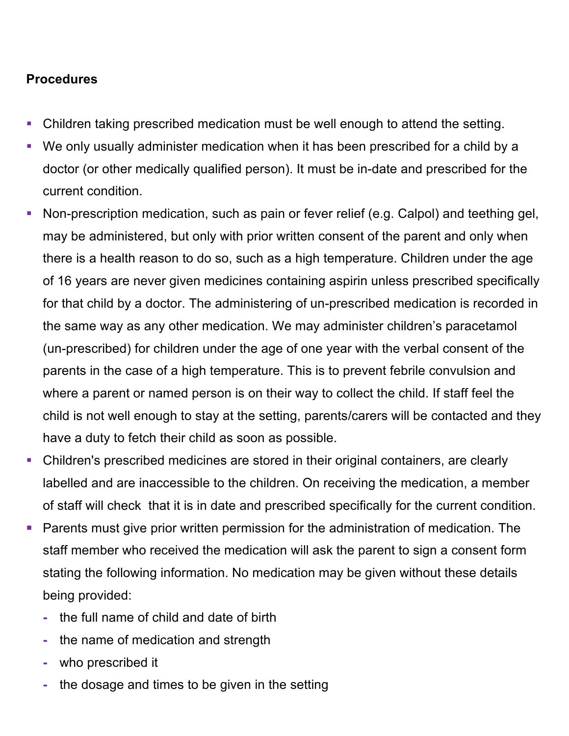## **Procedures**

- Children taking prescribed medication must be well enough to attend the setting.
- § We only usually administer medication when it has been prescribed for a child by a doctor (or other medically qualified person). It must be in-date and prescribed for the current condition.
- Non-prescription medication, such as pain or fever relief (e.g. Calpol) and teething gel, may be administered, but only with prior written consent of the parent and only when there is a health reason to do so, such as a high temperature. Children under the age of 16 years are never given medicines containing aspirin unless prescribed specifically for that child by a doctor. The administering of un-prescribed medication is recorded in the same way as any other medication. We may administer children's paracetamol (un-prescribed) for children under the age of one year with the verbal consent of the parents in the case of a high temperature. This is to prevent febrile convulsion and where a parent or named person is on their way to collect the child. If staff feel the child is not well enough to stay at the setting, parents/carers will be contacted and they have a duty to fetch their child as soon as possible.
- Children's prescribed medicines are stored in their original containers, are clearly labelled and are inaccessible to the children. On receiving the medication, a member of staff will check that it is in date and prescribed specifically for the current condition.
- Example Parents must give prior written permission for the administration of medication. The staff member who received the medication will ask the parent to sign a consent form stating the following information. No medication may be given without these details being provided:
	- **-** the full name of child and date of birth
	- **-** the name of medication and strength
	- **-** who prescribed it
	- **-** the dosage and times to be given in the setting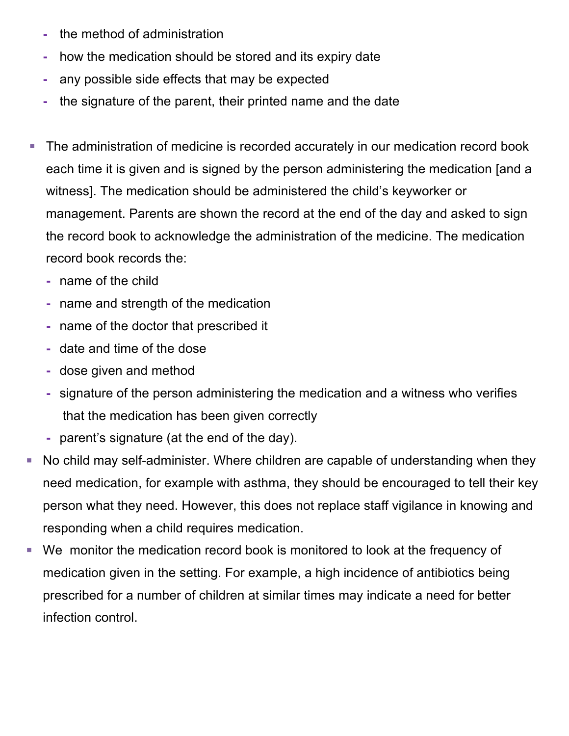- **-** the method of administration
- **-** how the medication should be stored and its expiry date
- **-** any possible side effects that may be expected
- **-** the signature of the parent, their printed name and the date
- The administration of medicine is recorded accurately in our medication record book each time it is given and is signed by the person administering the medication [and a witness]. The medication should be administered the child's keyworker or management. Parents are shown the record at the end of the day and asked to sign the record book to acknowledge the administration of the medicine. The medication record book records the:
	- **-** name of the child
	- **-** name and strength of the medication
	- **-** name of the doctor that prescribed it
	- **-** date and time of the dose
	- **-** dose given and method
	- **-** signature of the person administering the medication and a witness who verifies that the medication has been given correctly
	- **-** parent's signature (at the end of the day).
- No child may self-administer. Where children are capable of understanding when they need medication, for example with asthma, they should be encouraged to tell their key person what they need. However, this does not replace staff vigilance in knowing and responding when a child requires medication.
- § We monitor the medication record book is monitored to look at the frequency of medication given in the setting. For example, a high incidence of antibiotics being prescribed for a number of children at similar times may indicate a need for better infection control.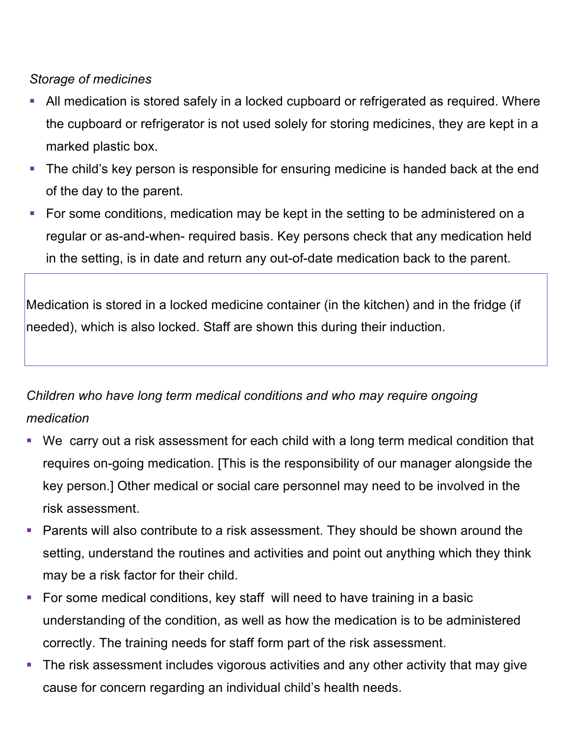### *Storage of medicines*

- § All medication is stored safely in a locked cupboard or refrigerated as required. Where the cupboard or refrigerator is not used solely for storing medicines, they are kept in a marked plastic box.
- The child's key person is responsible for ensuring medicine is handed back at the end of the day to the parent.
- § For some conditions, medication may be kept in the setting to be administered on a regular or as-and-when- required basis. Key persons check that any medication held in the setting, is in date and return any out-of-date medication back to the parent.

Medication is stored in a locked medicine container (in the kitchen) and in the fridge (if needed), which is also locked. Staff are shown this during their induction.

# *Children who have long term medical conditions and who may require ongoing medication*

- We carry out a risk assessment for each child with a long term medical condition that requires on-going medication. [This is the responsibility of our manager alongside the key person.] Other medical or social care personnel may need to be involved in the risk assessment.
- § Parents will also contribute to a risk assessment. They should be shown around the setting, understand the routines and activities and point out anything which they think may be a risk factor for their child.
- For some medical conditions, key staff will need to have training in a basic understanding of the condition, as well as how the medication is to be administered correctly. The training needs for staff form part of the risk assessment.
- The risk assessment includes vigorous activities and any other activity that may give cause for concern regarding an individual child's health needs.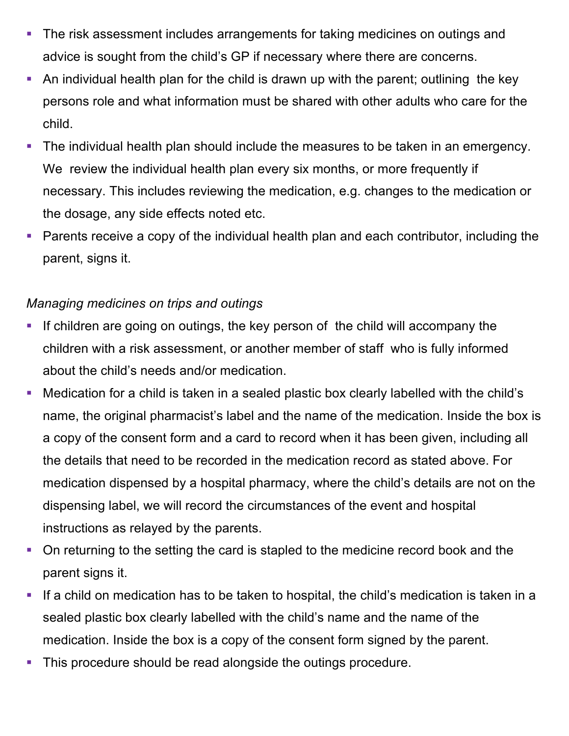- The risk assessment includes arrangements for taking medicines on outings and advice is sought from the child's GP if necessary where there are concerns.
- An individual health plan for the child is drawn up with the parent; outlining the key persons role and what information must be shared with other adults who care for the child.
- The individual health plan should include the measures to be taken in an emergency. We review the individual health plan every six months, or more frequently if necessary. This includes reviewing the medication, e.g. changes to the medication or the dosage, any side effects noted etc.
- § Parents receive a copy of the individual health plan and each contributor, including the parent, signs it.

## *Managing medicines on trips and outings*

- If children are going on outings, the key person of the child will accompany the children with a risk assessment, or another member of staff who is fully informed about the child's needs and/or medication.
- § Medication for a child is taken in a sealed plastic box clearly labelled with the child's name, the original pharmacist's label and the name of the medication. Inside the box is a copy of the consent form and a card to record when it has been given, including all the details that need to be recorded in the medication record as stated above. For medication dispensed by a hospital pharmacy, where the child's details are not on the dispensing label, we will record the circumstances of the event and hospital instructions as relayed by the parents.
- On returning to the setting the card is stapled to the medicine record book and the parent signs it.
- If a child on medication has to be taken to hospital, the child's medication is taken in a sealed plastic box clearly labelled with the child's name and the name of the medication. Inside the box is a copy of the consent form signed by the parent.
- This procedure should be read alongside the outings procedure.